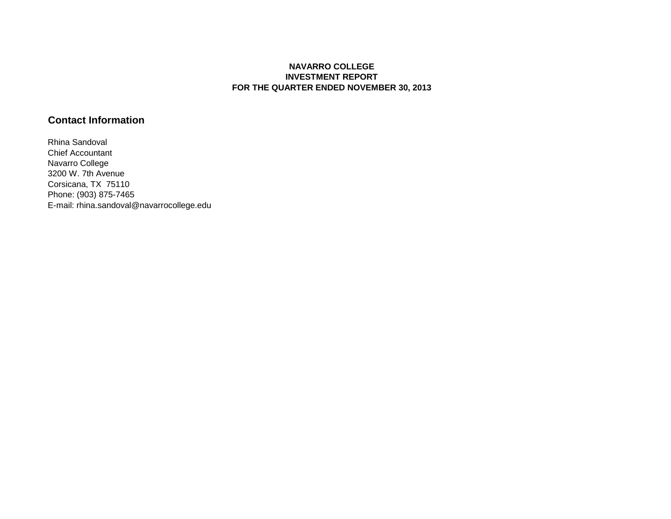## **NAVARRO COLLEGE INVESTMENT REPORT FOR THE QUARTER ENDED NOVEMBER 30, 2013**

## **Contact Information**

Rhina Sandoval Chief Accountant Navarro College 3200 W. 7th Avenue Corsicana, TX 75110 Phone: (903) 875-7465 E-mail: rhina.sandoval@navarrocollege.edu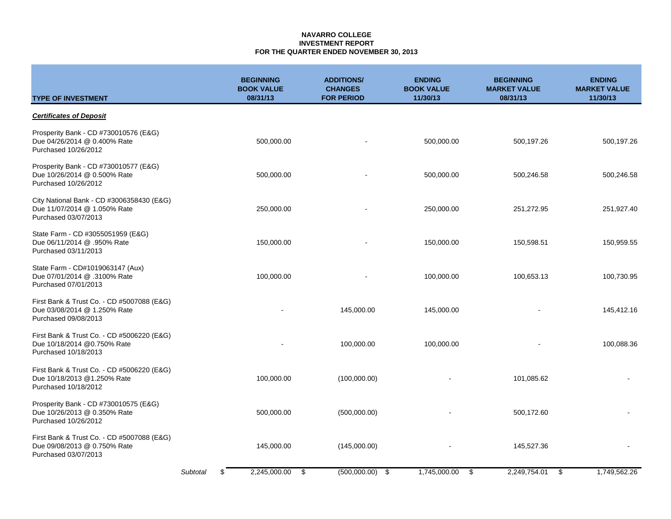### **NAVARRO COLLEGE INVESTMENT REPORT FOR THE QUARTER ENDED NOVEMBER 30, 2013**

| <b>TYPE OF INVESTMENT</b>                                                                          |          | <b>BEGINNING</b><br><b>BOOK VALUE</b><br>08/31/13 | <b>ADDITIONS/</b><br><b>CHANGES</b><br><b>FOR PERIOD</b> | <b>ENDING</b><br><b>BOOK VALUE</b><br>11/30/13 | <b>BEGINNING</b><br><b>MARKET VALUE</b><br>08/31/13 |      | <b>ENDING</b><br><b>MARKET VALUE</b><br>11/30/13 |
|----------------------------------------------------------------------------------------------------|----------|---------------------------------------------------|----------------------------------------------------------|------------------------------------------------|-----------------------------------------------------|------|--------------------------------------------------|
| <b>Certificates of Deposit</b>                                                                     |          |                                                   |                                                          |                                                |                                                     |      |                                                  |
| Prosperity Bank - CD #730010576 (E&G)<br>Due 04/26/2014 @ 0.400% Rate<br>Purchased 10/26/2012      |          | 500,000.00                                        |                                                          | 500,000.00                                     | 500,197.26                                          |      | 500,197.26                                       |
| Prosperity Bank - CD #730010577 (E&G)<br>Due 10/26/2014 @ 0.500% Rate<br>Purchased 10/26/2012      |          | 500,000.00                                        |                                                          | 500,000.00                                     | 500,246.58                                          |      | 500,246.58                                       |
| City National Bank - CD #3006358430 (E&G)<br>Due 11/07/2014 @ 1.050% Rate<br>Purchased 03/07/2013  |          | 250,000.00                                        |                                                          | 250,000.00                                     | 251,272.95                                          |      | 251,927.40                                       |
| State Farm - CD #3055051959 (E&G)<br>Due 06/11/2014 @ .950% Rate<br>Purchased 03/11/2013           |          | 150,000.00                                        |                                                          | 150,000.00                                     | 150,598.51                                          |      | 150,959.55                                       |
| State Farm - CD#1019063147 (Aux)<br>Due 07/01/2014 @ .3100% Rate<br>Purchased 07/01/2013           |          | 100,000.00                                        |                                                          | 100,000.00                                     | 100,653.13                                          |      | 100,730.95                                       |
| First Bank & Trust Co. - CD #5007088 (E&G)<br>Due 03/08/2014 @ 1.250% Rate<br>Purchased 09/08/2013 |          |                                                   | 145,000.00                                               | 145,000.00                                     |                                                     |      | 145,412.16                                       |
| First Bank & Trust Co. - CD #5006220 (E&G)<br>Due 10/18/2014 @0.750% Rate<br>Purchased 10/18/2013  |          |                                                   | 100,000.00                                               | 100,000.00                                     |                                                     |      | 100,088.36                                       |
| First Bank & Trust Co. - CD #5006220 (E&G)<br>Due 10/18/2013 @1.250% Rate<br>Purchased 10/18/2012  |          | 100,000.00                                        | (100,000.00)                                             |                                                | 101,085.62                                          |      |                                                  |
| Prosperity Bank - CD #730010575 (E&G)<br>Due 10/26/2013 @ 0.350% Rate<br>Purchased 10/26/2012      |          | 500,000.00                                        | (500,000.00)                                             |                                                | 500,172.60                                          |      |                                                  |
| First Bank & Trust Co. - CD #5007088 (E&G)<br>Due 09/08/2013 @ 0.750% Rate<br>Purchased 03/07/2013 |          | 145,000.00                                        | (145,000.00)                                             |                                                | 145,527.36                                          |      |                                                  |
|                                                                                                    | Subtotal | \$<br>2,245,000.00                                | \$<br>$(500,000.00)$ \$                                  | 1,745,000.00                                   | \$<br>2,249,754.01                                  | - \$ | 1,749,562.26                                     |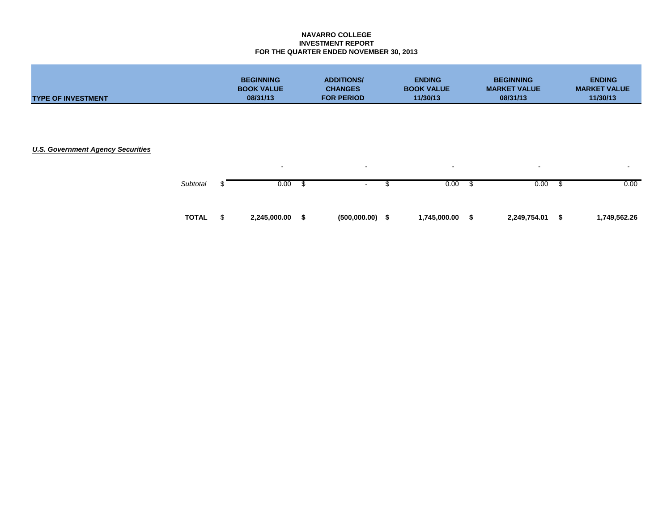### **NAVARRO COLLEGE INVESTMENT REPORT FOR THE QUARTER ENDED NOVEMBER 30, 2013**

| <b>TYPE OF INVESTMENT</b>                |              | <b>BEGINNING</b><br><b>BOOK VALUE</b><br>08/31/13 |    | <b>ADDITIONS/</b><br><b>CHANGES</b><br><b>FOR PERIOD</b> | <b>ENDING</b><br><b>BOOK VALUE</b><br>11/30/13 |      | <b>BEGINNING</b><br><b>MARKET VALUE</b><br>08/31/13 |    | <b>ENDING</b><br><b>MARKET VALUE</b><br>11/30/13 |
|------------------------------------------|--------------|---------------------------------------------------|----|----------------------------------------------------------|------------------------------------------------|------|-----------------------------------------------------|----|--------------------------------------------------|
|                                          |              |                                                   |    |                                                          |                                                |      |                                                     |    |                                                  |
| <b>U.S. Government Agency Securities</b> |              |                                                   |    |                                                          |                                                |      |                                                     |    |                                                  |
|                                          | Subtotal     | $\blacksquare$<br>0.00                            | S  | $\sim$<br>$\sim$                                         | $\sim$<br>0.00                                 | . ა  | $\sim$<br>0.00                                      | ъ. | $\sim$<br>0.00                                   |
|                                          | <b>TOTAL</b> | 2,245,000.00                                      | \$ | $(500,000.00)$ \$                                        | 1,745,000.00                                   | - \$ | 2,249,754.01                                        | \$ | 1,749,562.26                                     |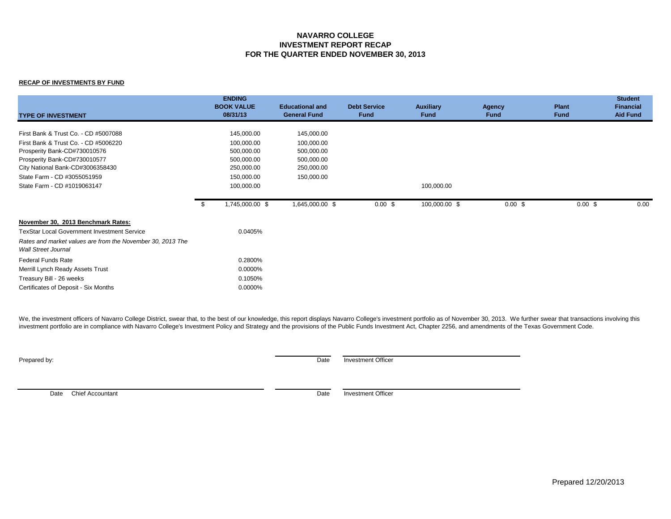### **NAVARRO COLLEGE INVESTMENT REPORT RECAP FOR THE QUARTER ENDED NOVEMBER 30, 2013**

#### **RECAP OF INVESTMENTS BY FUND**

| <b>TYPE OF INVESTMENT</b>                                                                                    |      | <b>ENDING</b><br><b>BOOK VALUE</b><br>08/31/13 | <b>Educational and</b><br><b>General Fund</b> | <b>Debt Service</b><br><b>Fund</b> | <b>Auxiliary</b><br><b>Fund</b> | Agency<br><b>Fund</b> | <b>Plant</b><br><b>Fund</b> | <b>Student</b><br><b>Financial</b><br><b>Aid Fund</b> |
|--------------------------------------------------------------------------------------------------------------|------|------------------------------------------------|-----------------------------------------------|------------------------------------|---------------------------------|-----------------------|-----------------------------|-------------------------------------------------------|
| First Bank & Trust Co. - CD #5007088<br>First Bank & Trust Co. - CD #5006220<br>Prosperity Bank-CD#730010576 |      | 145,000.00<br>100,000.00<br>500,000.00         | 145,000.00<br>100,000.00<br>500,000.00        |                                    |                                 |                       |                             |                                                       |
| Prosperity Bank-CD#730010577<br>City National Bank-CD#3006358430<br>State Farm - CD #3055051959              |      | 500,000.00<br>250,000.00<br>150,000.00         | 500,000.00<br>250,000.00<br>150,000.00        |                                    |                                 |                       |                             |                                                       |
| State Farm - CD #1019063147                                                                                  |      | 100,000.00                                     |                                               |                                    | 100,000.00                      |                       |                             |                                                       |
|                                                                                                              | - \$ | 1,745,000.00 \$                                | 1,645,000.00 \$                               | 0.00~\$                            | 100,000.00 \$                   | $0.00$ \$             | $0.00$ \$                   | 0.00                                                  |
| November 30, 2013 Benchmark Rates:                                                                           |      |                                                |                                               |                                    |                                 |                       |                             |                                                       |
| <b>TexStar Local Government Investment Service</b>                                                           |      | 0.0405%                                        |                                               |                                    |                                 |                       |                             |                                                       |
| Rates and market values are from the November 30, 2013 The<br><b>Wall Street Journal</b>                     |      |                                                |                                               |                                    |                                 |                       |                             |                                                       |
| <b>Federal Funds Rate</b>                                                                                    |      | 0.2800%                                        |                                               |                                    |                                 |                       |                             |                                                       |
| Merrill Lynch Ready Assets Trust                                                                             |      | 0.0000%                                        |                                               |                                    |                                 |                       |                             |                                                       |
| Treasury Bill - 26 weeks                                                                                     |      | 0.1050%                                        |                                               |                                    |                                 |                       |                             |                                                       |
| Certificates of Deposit - Six Months                                                                         |      | 0.0000%                                        |                                               |                                    |                                 |                       |                             |                                                       |

We, the investment officers of Navarro College District, swear that, to the best of our knowledge, this report displays Navarro College's investment portfolio as of November 30, 2013. We further swear that transactions inv investment portfolio are in compliance with Navarro College's Investment Policy and Strategy and the provisions of the Public Funds Investment Act, Chapter 2256, and amendments of the Texas Government Code.

**Prepared by:** Date Investment Officer

Date Chief Accountant Date investment Officer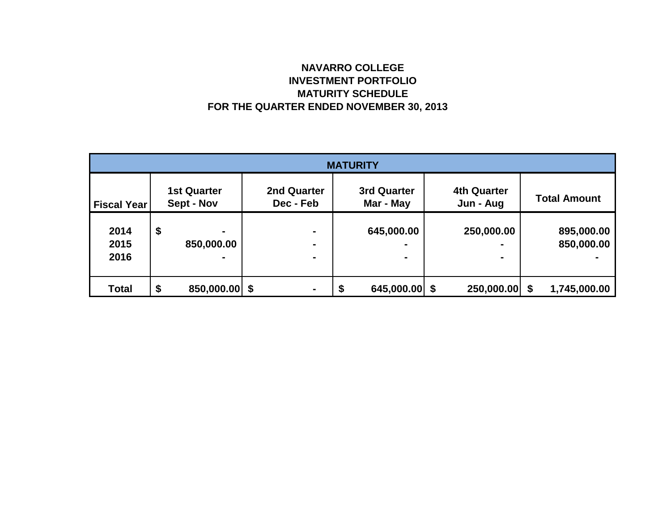# **NAVARRO COLLEGE INVESTMENT PORTFOLIO MATURITY SCHEDULE FOR THE QUARTER ENDED NOVEMBER 30, 2013**

| <b>MATURITY</b>      |    |                                  |                                                    |    |                              |  |                                   |  |                          |  |  |
|----------------------|----|----------------------------------|----------------------------------------------------|----|------------------------------|--|-----------------------------------|--|--------------------------|--|--|
| <b>Fiscal Year</b>   |    | <b>1st Quarter</b><br>Sept - Nov | 2nd Quarter<br>Dec - Feb                           |    | 3rd Quarter<br>Mar - May     |  | <b>4th Quarter</b><br>Jun - Aug   |  | <b>Total Amount</b>      |  |  |
| 2014<br>2015<br>2016 | \$ | 850,000.00                       | $\blacksquare$<br>$\blacksquare$<br>$\blacksquare$ |    | 645,000.00<br>$\blacksquare$ |  | 250,000.00<br>-<br>$\blacksquare$ |  | 895,000.00<br>850,000.00 |  |  |
| <b>Total</b>         | \$ | 850,000.00 \$                    | $\blacksquare$                                     | \$ | 645,000.00 \$                |  | 250,000.00 \$                     |  | 1,745,000.00             |  |  |